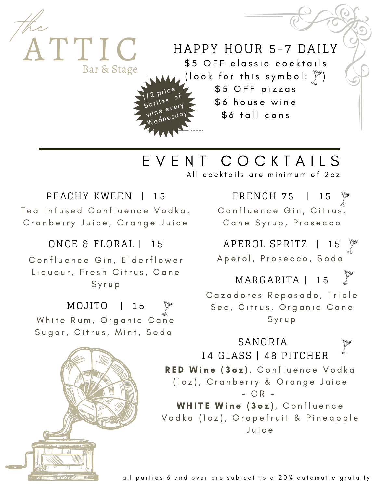

## E V E N T C O C K T A I L S

All cocktails are minimum of 20z

### PEACHY KWEEN | 15

Bar & Stage

**the**

Tea Infused Confluence Vodka, Cranberry Juice, Orange Juice

#### ONCE & FLORAL | 15

Confluence Gin, Elderflower Liqueur, Fresh Citrus, Cane S y r u p

## MOJITO | 15

White Rum, Organic Cane Sugar, Citrus, Mint, Soda

FRENCH 75 | 15

Confluence Gin, Citrus, Cane Syrup, Prosecco

APEROL SPRITZ | 15  $\triangledown$ 

Aperol, Prosecco, Soda

MARGARITA | 15

Cazadores Reposado, Triple Sec, Citrus, Organic Cane S y r u p

### RED Wine (3oz), Confluence Vodka (loz), Cranberry & Orange Juice  $-$  OR  $-$ WHITE Wine (3oz), Confluence Vodka (loz), Grapefruit & Pineapple SANGRIA 14 GLASS | 48 PITCHER

J u i c e

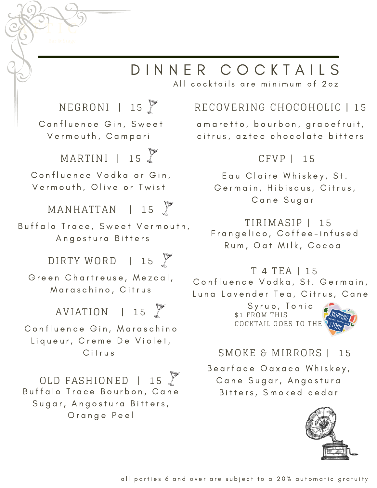# D I N N E R C O C K T A I L S

All cocktails are minimum of 20z

## NEGRONI | 15 Confluence Gin, Sweet Vermouth, Campari MARTINI | 15 Confluence Vodka or Gin, Vermouth, Olive or Twist AVIATION | 15 Confluence Gin, Maraschino Liqueur, Creme De Violet, C<sub>itrus</sub>  $MANHATTAN$  | 15 Buffalo Trace, Sweet Vermouth, Angostura Bitters DIRTY WORD | 15 Green Chartreuse, Mezcal, Maraschino, Citrus OLD FASHIONED | 15 Buffalo Trace Bourbon, Cane

Sugar, Angostura Bitters, Orange Peel

## RECOVERING CHOCOHOLIC | 15

a m a r e t t o, b o u r b o n, g r a p e f r u i t, citrus, aztec chocolate bitters

### CFVP | 15

Eau Claire Whiskey, St. Germain, Hibiscus, Citrus, C a n e S u g a r

## TIRIMASIP | 15

Frangelico, Coffee-infused Rum, Oat Milk, Cocoa

### T 4 TEA | 15

Confluence Vodka, St. Germain, Luna Lavender Tea, Citrus, Cane

> Syrup, Tonic \$1 FROM THIS COCKTAIL GOES TO THE UST



## SMOKE & MIRRORS | 15

Bearface Oaxaca Whiskey, Cane Sugar, Angostura Bitters, Smoked cedar

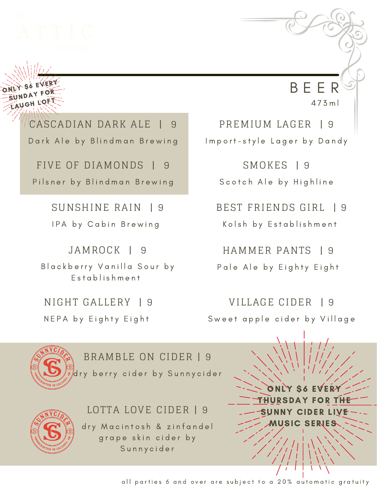

ONLY SO EVERY SUNDAY FOR LAUGH LOF<sup>T</sup>

> CASCADIAN DARK ALE | 9 Dark Ale by Blindman Brewing

FIVE OF DIAMONDS | 9 Pilsner by Blindman Brewing

> SUNSHINE RAIN | 9 IPA by Cabin Brewing

JAMROCK | 9 Blackberry Vanilla Sour by

Establishment

NIGHT GALLERY | 9 NEPA by Eighty Eight

PREMIUM LAGER | 9 Import-style Lager by Dandy

B E E R

4 7 3 m l

SMOKES | 9 Scotch Ale by Highline

BEST FRIENDS GIRL | 9 Kolsh by Establishment

HAMMER PANTS | 9 Pale Ale by Eighty Eight

VILLAGE CIDER | 9 Sweet apple cider by Village



BRAMBLE ON CIDER | 9 dry berry cider by Sunnycider

## LOTTA LOVE CIDER | 9

dry Macintosh & zinfandel grape skin cider by S u n n y c i d e r

ONLY \$6 EVERY THURSDAY FOR THE SUNNY CIDER LIVE MUSIC SERIES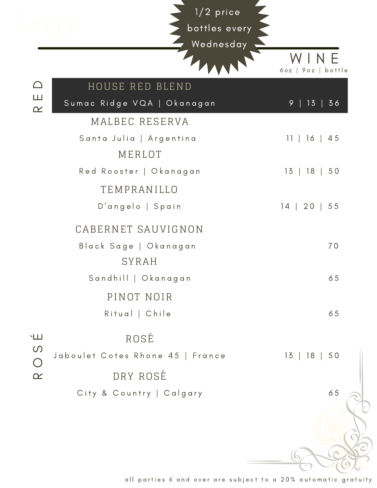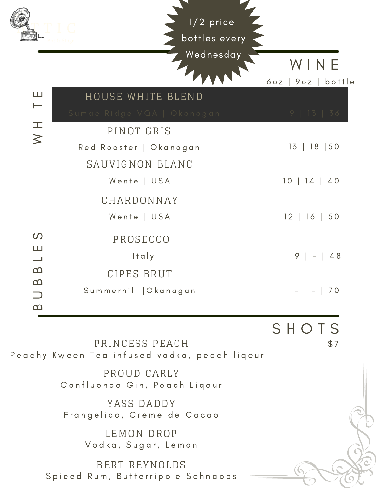|                                 | $1/2$ price<br>bottles every                       |                                                                           |  |
|---------------------------------|----------------------------------------------------|---------------------------------------------------------------------------|--|
|                                 | Wednesday                                          | INE<br>90z<br>bottle<br>60Z                                               |  |
| Ш                               | HOUSE WHITE BLEND                                  |                                                                           |  |
| $\overline{M}$ H $\overline{M}$ | Sumac Ridge VQA   Okanagan                         | 9   13   36                                                               |  |
|                                 | PINOT GRIS                                         |                                                                           |  |
|                                 | Red Rooster   Okanagan                             | 13   18   50                                                              |  |
|                                 | SAUVIGNON BLANC                                    |                                                                           |  |
|                                 | Wente   USA                                        | 10   14<br>$\begin{array}{c} 40 \end{array}$                              |  |
|                                 | CHARDONNAY                                         |                                                                           |  |
|                                 | Wente   USA                                        | $12 \mid 16$<br>$\vert 50$                                                |  |
| $\Omega$                        | PROSECCO                                           |                                                                           |  |
| Ш<br>$\overline{\phantom{0}}$   | Italy                                              | 9<br>48                                                                   |  |
| $\Omega$                        | CIPES BRUT                                         |                                                                           |  |
| ഥ                               | Summerhill   Okanagan                              | $\begin{array}{c} \begin{array}{c} \end{array} \end{array}$<br>$\sim$ $-$ |  |
| $\Omega$                        |                                                    |                                                                           |  |
|                                 |                                                    | SHOTS                                                                     |  |
|                                 | PRINCESS PEACH                                     | \$7                                                                       |  |
|                                 | Peachy Kween Tea infused vodka, peach liqeur       |                                                                           |  |
|                                 | PROUD CARLY<br>Confluence Gin, Peach Liqeur        |                                                                           |  |
|                                 | YASS DADDY<br>Frangelico, Creme de Cacao           |                                                                           |  |
|                                 | LEMON DROP<br>Vodka, Sugar, Lemon                  |                                                                           |  |
|                                 | BERT REYNOLDS<br>Spiced Rum, Butterripple Schnapps |                                                                           |  |

 $\blacksquare$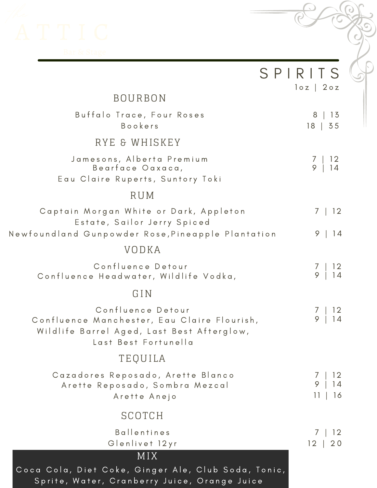

|                                                                                                                                        | SPIRITS<br>$log$ 20z                                |
|----------------------------------------------------------------------------------------------------------------------------------------|-----------------------------------------------------|
| <b>BOURBON</b>                                                                                                                         |                                                     |
| Buffalo Trace, Four Roses<br><b>Bookers</b>                                                                                            | 8<br>- 13<br>$18$   35                              |
| RYE & WHISKEY                                                                                                                          |                                                     |
| Jamesons, Alberta Premium<br>Bearface Oaxaca,<br>Eau Claire Ruperts, Suntory Toki                                                      | $\begin{array}{c} 12 \\ 14 \end{array}$<br>$9 \mid$ |
| RUM                                                                                                                                    |                                                     |
| Captain Morgan White or Dark, Appleton<br>Estate, Sailor Jerry Spiced                                                                  | 7   12                                              |
| Newfoundland Gunpowder Rose,Pineapple Plantation                                                                                       | 9<br> 14                                            |
| VODKA                                                                                                                                  |                                                     |
| Confluence Detour<br>Confluence Headwater, Wildlife Vodka,                                                                             | $\begin{array}{c} 12 \\ 14 \end{array}$<br>/<br>9   |
| GIN                                                                                                                                    |                                                     |
| Confluence Detour<br>Confluence Manchester, Eau Claire Flourish,<br>Wildlife Barrel Aged, Last Best Afterglow,<br>Last Best Fortunella | 9                                                   |
| <b>TEQUILA</b>                                                                                                                         |                                                     |
| Cazadores Reposado, Arette Blanco<br>Arette Reposado, Sombra Mezcal<br>Arette Anejo                                                    | 9<br>11<br>16                                       |
| SCOTCH                                                                                                                                 |                                                     |
| <b>Ballentines</b><br>Glenlivet 12yr                                                                                                   | 7<br>12<br>12 <br>20                                |
| MIX<br>Coca Cola, Diet Coke, Ginger Ale, Club Soda, Tonic,<br>Sprite, Water, Cranberry Juice, Orange Juice                             |                                                     |

 $\mathbf{C}$ 

 $\epsilon$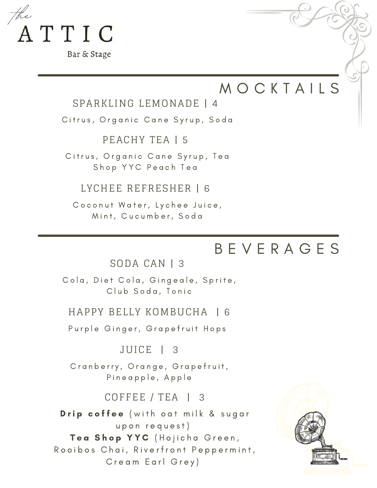

Bar & Stage

## **MOCKTAILS**

#### SPARKLING LEMONADE | 4

Citrus, Organic Cane Syrup, Soda

PEACHY TEA | 5

Citrus, Organic Cane Syrup, Tea Shop YYC Peach Tea

LYCHEE REFRESHER | 6

Coconut Water, Lychee Juice, Mint, Cucumber, Soda

## B E V E R A G E S

SODA CAN | 3

Cola, Diet Cola, Gingeale, Sprite, Club Soda, Tonic

#### HAPPY BELLY KOMBUCHA | 6

Purple Ginger, Grapefruit Hops

JUICE | 3

Cranberry, Orange, Grapefruit, Pineapple, Apple

#### COFFEE / TEA | 3

Drip coffee (with oat milk & sugar upon request) Tea Shop YYC (Hojicha Green, Rooibos Chai, Riverfront Peppermint, Cream Earl Grey)

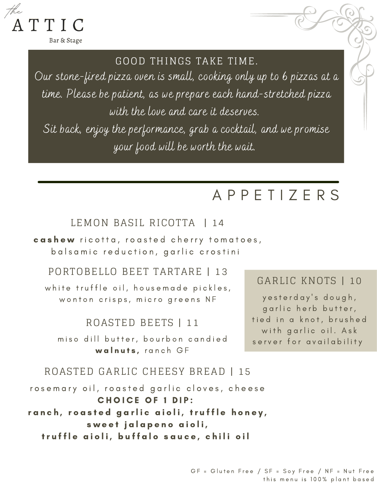

Bar & Stage

#### GOOD THINGS TAKE TIME.

Our stone-fired pizza oven is small, cooking only up to 6 pizzas at a time. Please be patient, as we prepare each hand-stretched pizza with the love and care it deserves. Sit back, enjoy the performance, grab a cocktail, and we promise your food will be worth the wait.

## A P P E T I Z E R S

#### LEMON BASIL RICOTTA | 14

cashew ricotta, roasted cherry tomatoes, balsamic reduction, garlic crostini

#### PORTOBELLO BEET TARTARE | 13

white truffle oil, housemade pickles, wonton crisps, micro greens NF

#### ROASTED BEETS | 11

miso dill butter, bourbon candied walnuts, ranch GF

#### GARLIC KNOTS | 10

y e sterday's dough, garlic herb butter, tied in a knot, brushed with garlic oil. Ask server for availability

### ROASTED GARLIC CHEESY BREAD | 15

rosemary oil, roasted garlic cloves, cheese CHOICE OF 1 DIP: ranch, roasted garlic aioli, truffle honey, sweet jalapeno aioli, truffle aioli, buffalo sauce, chili oil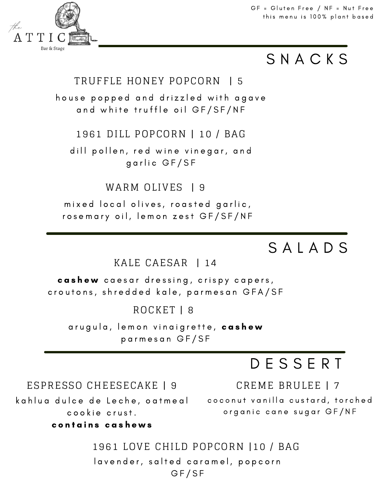$GF = Gluten Free / NF = Nut Free$ this menu is 100% plant based

## S N A C K S

### TRUFFLE HONEY POPCORN | 5

house popped and drizzled with agave and white truffle oil GF/SF/NF

#### 1961 DILL POPCORN | 10 / BAG

dill pollen, red wine vinegar, and garlic GF/SF

#### WARM OLIVES 19

mixed local olives, roasted garlic, rosemary oil, lemon zest GF/SF/NF

## S A L A D S

#### KALE CAESAR | 14

cashew caesar dressing, crispy capers, croutons, shredded kale, parmesan GFA/SF

### ROCKET | 8

arugula, lemon vinaigrette, cashew p a r m e s a n G F / S F

1961 LOVE CHILD POPCORN |10 / BAG

lavender, salted caramel, popcorn GF/SF

## D E S S E R T

#### ESPRESSO CHEESECAKE | 9

kahlua dulce de Leche, oatmeal cookie crust.

c o n t a i n s c a s h e w s

CREME BRULEE | 7

co conut vanilla custard, torched organic cane sugar GF/NF